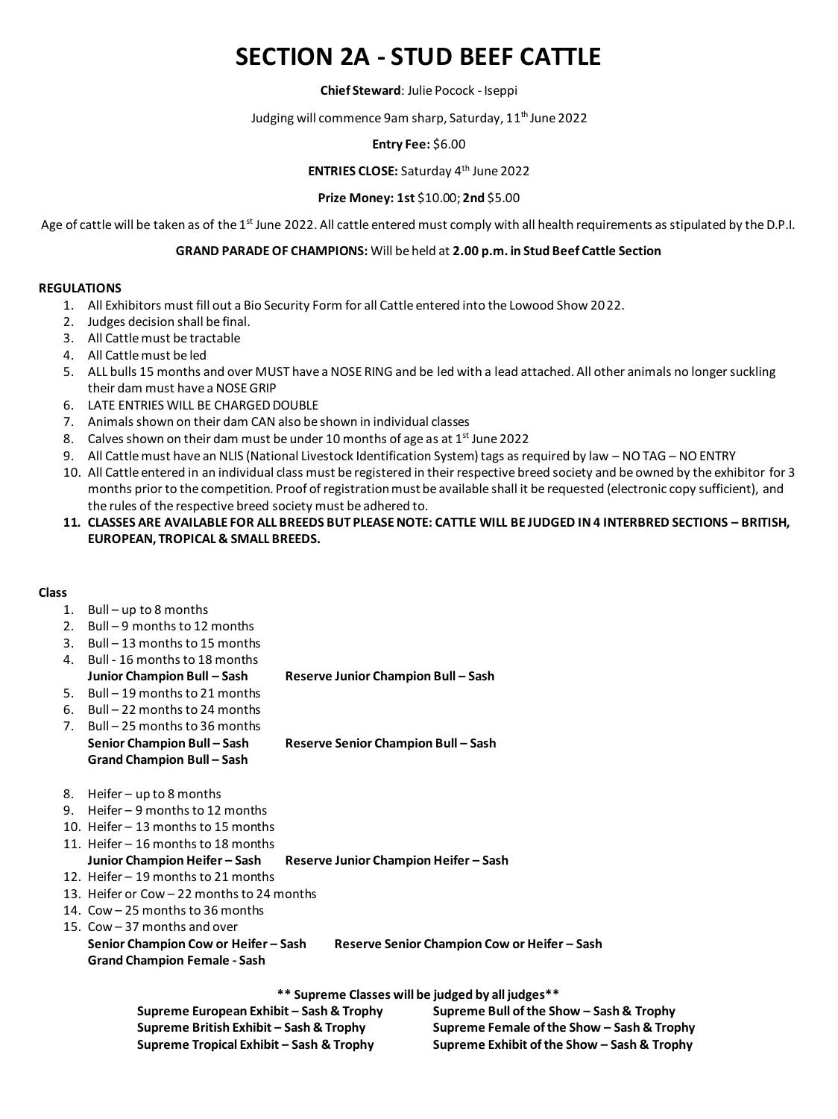# **SECTION 2A - STUD BEEF CATTLE**

#### **Chief Steward**: Julie Pocock - Iseppi

## Judging will commence 9am sharp, Saturday, 11<sup>th</sup> June 2022

### **Entry Fee:** \$6.00

## **ENTRIES CLOSE:** Saturday 4 th June 2022

### **Prize Money: 1st** \$10.00; **2nd** \$5.00

Age of cattle will be taken as of the 1<sup>st</sup> June 2022. All cattle entered must comply with all health requirements as stipulated by the D.P.I.

#### **GRAND PARADEOF CHAMPIONS:** Will be held at **2.00 p.m. in Stud Beef Cattle Section**

#### **REGULATIONS**

- 1. All Exhibitors must fill out a Bio Security Form for all Cattle entered into the Lowood Show 2022.
- 2. Judges decision shall be final.
- 3. All Cattle must be tractable
- 4. All Cattle must be led
- 5. ALL bulls 15 months and over MUST have a NOSE RING and be led with a lead attached. All other animals no longer suckling their dam must have a NOSE GRIP
- 6. LATE ENTRIES WILL BE CHARGED DOUBLE
- 7. Animals shown on their dam CAN also be shown in individual classes
- 8. Calves shown on their dam must be under 10 months of age as at  $1^{st}$  June 2022
- 9. All Cattle must have an NLIS (National Livestock Identification System) tags as required by law NO TAG NO ENTRY
- 10. All Cattle entered in an individual class must be registered in their respective breed society and be owned by the exhibitor for 3 months prior to the competition. Proof of registration must be available shall it be requested (electronic copy sufficient), and the rules of the respective breed society must be adhered to.
- **11. CLASSES ARE AVAILABLE FOR ALL BREEDS BUT PLEASE NOTE: CATTLE WILL BE JUDGED IN 4 INTERBRED SECTIONS – BRITISH, EUROPEAN, TROPICAL & SMALL BREEDS.**

#### **Class**

#### 1. Bull – up to 8 months

- 2. Bull 9 months to 12 months
- 3. Bull 13 months to 15 months
- 4. Bull 16 months to 18 months **Junior Champion Bull – Sash Reserve Junior Champion Bull – Sash**
- 5. Bull 19 months to 21 months
- 6. Bull 22 months to 24 months
- 7. Bull 25 months to 36 months **Senior Champion Bull – Sash Reserve Senior Champion Bull – Sash Grand Champion Bull – Sash**
- 8. Heifer up to 8 months
- 9. Heifer 9 months to 12 months
- 10. Heifer 13 months to 15 months
- 11. Heifer 16 months to 18 months **Junior Champion Heifer – Sash Reserve Junior Champion Heifer – Sash**
- 12. Heifer 19 months to 21 months
- 13. Heifer or Cow 22 months to 24 months
- 14. Cow 25 months to 36 months
- 15. Cow 37 months and over

```
Senior Champion Cow or Heifer – Sash Reserve Senior Champion Cow or Heifer – Sash
Grand Champion Female - Sash
```
**\*\* Supreme Classes will be judged by all judges\*\***

| Supreme European Exhibit – Sash & Trophy | Supreme Bull of the Show - Sash & Trophy    |
|------------------------------------------|---------------------------------------------|
| Supreme British Exhibit – Sash & Trophy  | Supreme Female of the Show - Sash & Trophy  |
| Supreme Tropical Exhibit – Sash & Trophy | Supreme Exhibit of the Show - Sash & Trophy |